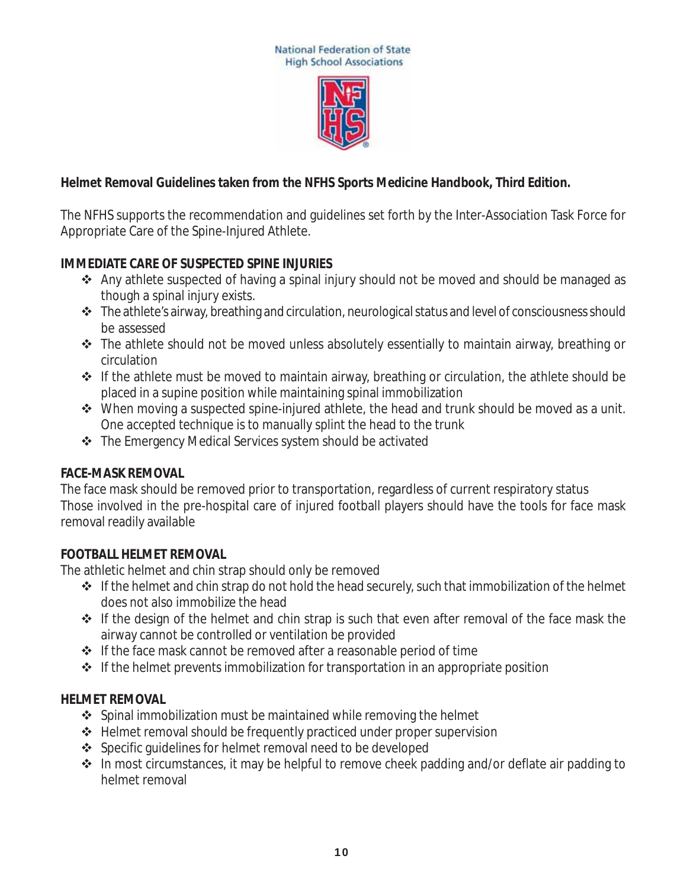

# **Helmet Removal Guidelines taken from the NFHS Sports Medicine Handbook, Third Edition.**

The NFHS supports the recommendation and guidelines set forth by the Inter-Association Task Force for Appropriate Care of the Spine-Injured Athlete.

### **IMMEDIATE CARE OF SUSPECTED SPINE INJURIES**

- Any athlete suspected of having a spinal injury should not be moved and should be managed as though a spinal injury exists.
- \* The athlete's airway, breathing and circulation, neurological status and level of consciousness should be assessed
- The athlete should not be moved unless absolutely essentially to maintain airway, breathing or circulation
- $\div$  If the athlete must be moved to maintain airway, breathing or circulation, the athlete should be placed in a supine position while maintaining spinal immobilization
- $\triangleq$  When moving a suspected spine-injured athlete, the head and trunk should be moved as a unit. One accepted technique is to manually splint the head to the trunk
- \* The Emergency Medical Services system should be activated

### **FACE-MASK REMOVAL**

The face mask should be removed prior to transportation, regardless of current respiratory status Those involved in the pre-hospital care of injured football players should have the tools for face mask removal readily available

### **FOOTBALL HELMET REMOVAL**

The athletic helmet and chin strap should only be removed

- $\triangleq$  If the helmet and chin strap do not hold the head securely, such that immobilization of the helmet does not also immobilize the head
- $\div$  If the design of the helmet and chin strap is such that even after removal of the face mask the airway cannot be controlled or ventilation be provided
- $\div$  If the face mask cannot be removed after a reasonable period of time
- $\cdot \cdot$  If the helmet prevents immobilization for transportation in an appropriate position

### **HELMET REMOVAL**

- $\triangle$  Spinal immobilization must be maintained while removing the helmet
- $\triangleleft$  Helmet removal should be frequently practiced under proper supervision
- ❖ Specific quidelines for helmet removal need to be developed
- $\cdot$  In most circumstances, it may be helpful to remove cheek padding and/or deflate air padding to helmet removal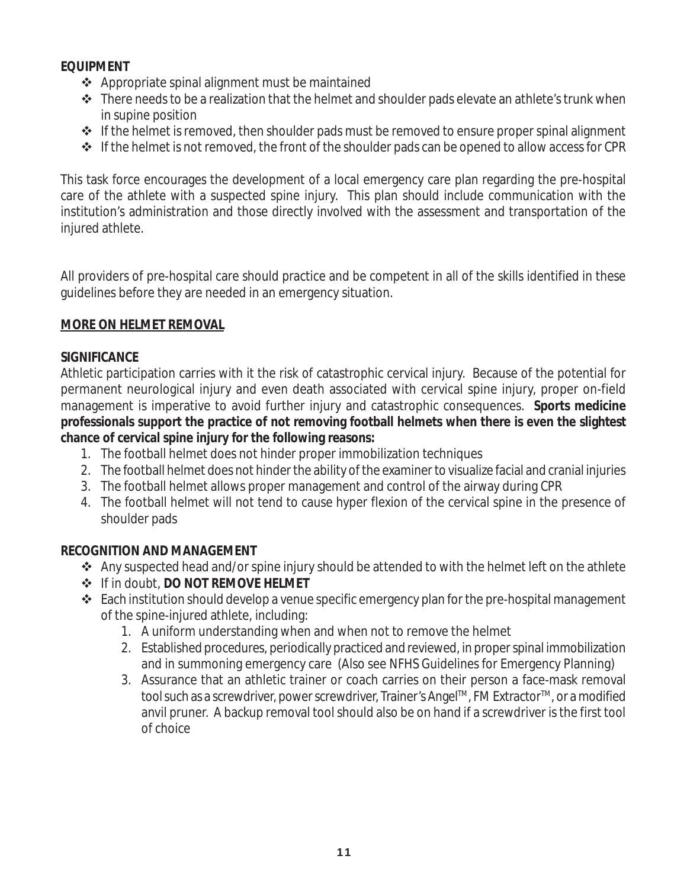### **EQUIPMENT**

- ❖ Appropriate spinal alignment must be maintained
- $\triangle$  There needs to be a realization that the helmet and shoulder pads elevate an athlete's trunk when in supine position
- $\cdot$  If the helmet is removed, then shoulder pads must be removed to ensure proper spinal alignment
- $\cdot \cdot$  If the helmet is not removed, the front of the shoulder pads can be opened to allow access for CPR

This task force encourages the development of a local emergency care plan regarding the pre-hospital care of the athlete with a suspected spine injury. This plan should include communication with the institution's administration and those directly involved with the assessment and transportation of the injured athlete.

All providers of pre-hospital care should practice and be competent in all of the skills identified in these guidelines before they are needed in an emergency situation.

### **MORE ON HELMET REMOVAL**

### **SIGNIFICANCE**

Athletic participation carries with it the risk of catastrophic cervical injury. Because of the potential for permanent neurological injury and even death associated with cervical spine injury, proper on-field management is imperative to avoid further injury and catastrophic consequences. **Sports medicine professionals support the practice of not removing football helmets when there is even the slightest chance of cervical spine injury for the following reasons:**

- 1. The football helmet does not hinder proper immobilization techniques
- 2. The football helmet does not hinder the ability of the examiner to visualize facial and cranial injuries
- 3. The football helmet allows proper management and control of the airway during CPR
- 4. The football helmet will not tend to cause hyper flexion of the cervical spine in the presence of shoulder pads

### **RECOGNITION AND MANAGEMENT**

- ❖ Any suspected head and/or spine injury should be attended to with the helmet left on the athlete
- If in doubt, **DO NOT REMOVE HELMET**
- $\triangleq$  Each institution should develop a venue specific emergency plan for the pre-hospital management of the spine-injured athlete, including:
	- 1. A uniform understanding when and when not to remove the helmet
	- 2. Established procedures, periodically practiced and reviewed, in proper spinal immobilization and in summoning emergency care (Also see NFHS Guidelines for Emergency Planning)
	- 3. Assurance that an athletic trainer or coach carries on their person a face-mask removal tool such as a screwdriver, power screwdriver, Trainer's Angel™, FM Extractor™, or a modified anvil pruner. A backup removal tool should also be on hand if a screwdriver is the first tool of choice